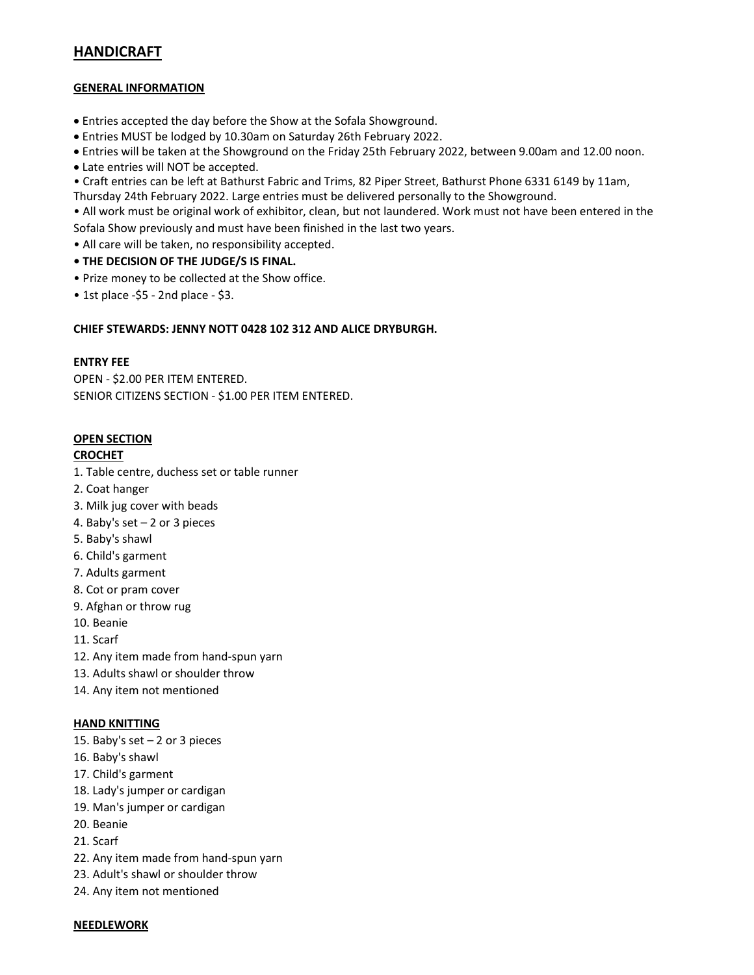# HANDICRAFT

## GENERAL INFORMATION

- Entries accepted the day before the Show at the Sofala Showground.
- Entries MUST be lodged by 10.30am on Saturday 26th February 2022.
- Entries will be taken at the Showground on the Friday 25th February 2022, between 9.00am and 12.00 noon.
- Late entries will NOT be accepted.
- Craft entries can be left at Bathurst Fabric and Trims, 82 Piper Street, Bathurst Phone 6331 6149 by 11am, Thursday 24th February 2022. Large entries must be delivered personally to the Showground.

• All work must be original work of exhibitor, clean, but not laundered. Work must not have been entered in the Sofala Show previously and must have been finished in the last two years.

- All care will be taken, no responsibility accepted.
- THE DECISION OF THE JUDGE/S IS FINAL.
- Prize money to be collected at the Show office.
- $\bullet$  1st place -\$5 2nd place \$3.

## CHIEF STEWARDS: JENNY NOTT 0428 102 312 AND ALICE DRYBURGH.

## ENTRY FEE

OPEN - \$2.00 PER ITEM ENTERED. SENIOR CITIZENS SECTION - \$1.00 PER ITEM ENTERED.

## OPEN SECTION

## **CROCHET**

- 1. Table centre, duchess set or table runner
- 2. Coat hanger
- 3. Milk jug cover with beads
- 4. Baby's set 2 or 3 pieces
- 5. Baby's shawl
- 6. Child's garment
- 7. Adults garment
- 8. Cot or pram cover
- 9. Afghan or throw rug
- 10. Beanie
- 11. Scarf
- 12. Any item made from hand-spun yarn
- 13. Adults shawl or shoulder throw
- 14. Any item not mentioned

#### HAND KNITTING

- 15. Baby's set 2 or 3 pieces
- 16. Baby's shawl
- 17. Child's garment
- 18. Lady's jumper or cardigan
- 19. Man's jumper or cardigan
- 20. Beanie
- 21. Scarf
- 22. Any item made from hand-spun yarn
- 23. Adult's shawl or shoulder throw
- 24. Any item not mentioned

#### **NEEDLEWORK**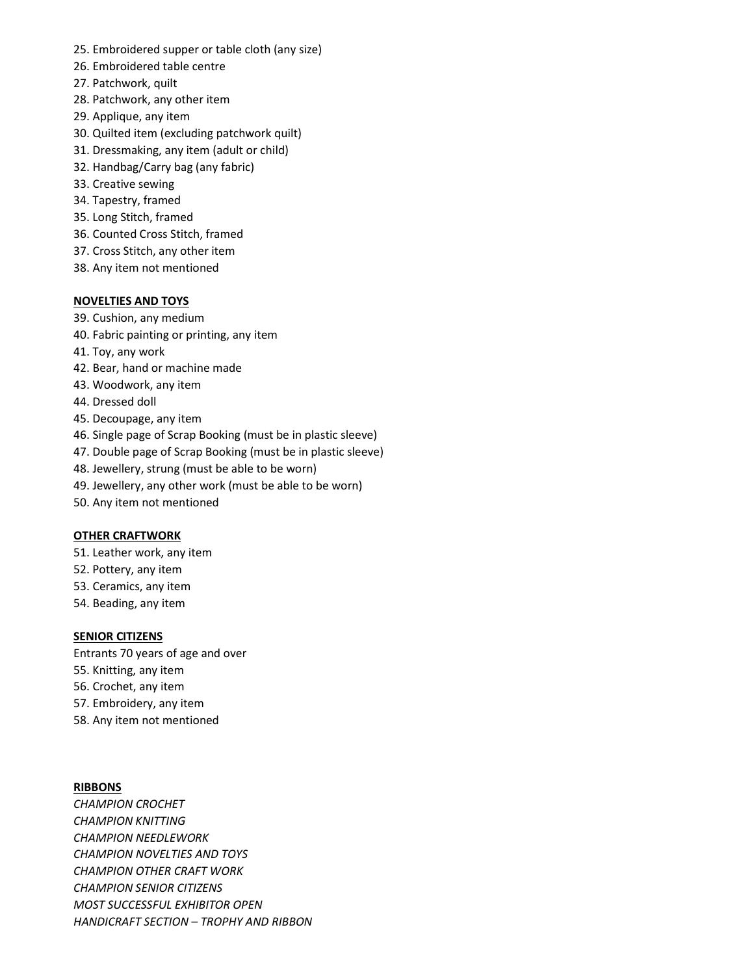- 25. Embroidered supper or table cloth (any size)
- 26. Embroidered table centre
- 27. Patchwork, quilt
- 28. Patchwork, any other item
- 29. Applique, any item
- 30. Quilted item (excluding patchwork quilt)
- 31. Dressmaking, any item (adult or child)
- 32. Handbag/Carry bag (any fabric)
- 33. Creative sewing
- 34. Tapestry, framed
- 35. Long Stitch, framed
- 36. Counted Cross Stitch, framed
- 37. Cross Stitch, any other item
- 38. Any item not mentioned

## NOVELTIES AND TOYS

- 39. Cushion, any medium
- 40. Fabric painting or printing, any item
- 41. Toy, any work
- 42. Bear, hand or machine made
- 43. Woodwork, any item
- 44. Dressed doll
- 45. Decoupage, any item
- 46. Single page of Scrap Booking (must be in plastic sleeve)
- 47. Double page of Scrap Booking (must be in plastic sleeve)
- 48. Jewellery, strung (must be able to be worn)
- 49. Jewellery, any other work (must be able to be worn)
- 50. Any item not mentioned

#### OTHER CRAFTWORK

- 51. Leather work, any item
- 52. Pottery, any item
- 53. Ceramics, any item
- 54. Beading, any item

#### SENIOR CITIZENS

Entrants 70 years of age and over

- 55. Knitting, any item
- 56. Crochet, any item
- 57. Embroidery, any item
- 58. Any item not mentioned

## **RIBBONS**

CHAMPION CROCHET CHAMPION KNITTING CHAMPION NEEDLEWORK CHAMPION NOVELTIES AND TOYS CHAMPION OTHER CRAFT WORK CHAMPION SENIOR CITIZENS MOST SUCCESSFUL EXHIBITOR OPEN HANDICRAFT SECTION – TROPHY AND RIBBON